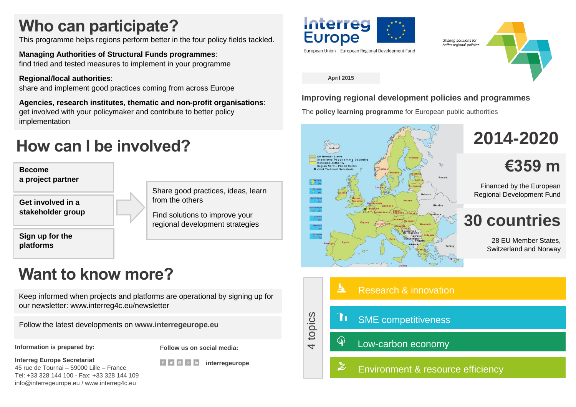## **Who can participate?**

This programme helps regions perform better in the four policy fields tackled.

**Managing Authorities of Structural Funds programmes**: find tried and tested measures to implement in your programme

**Regional/local authorities**:

share and implement good practices coming from across Europe

**Agencies, research institutes, thematic and non-profit organisations**: get involved with your policymaker and contribute to better policy implementation

## **How can I be involved?**

**Become a project partner**

**Get involved in a stakeholder group**

**Sign up for the platforms**

Share good practices, ideas, learn from the others

Find solutions to improve your regional development strategies

## **Want to know more?**

Keep informed when projects and platforms are operational by signing up for our newsletter: www.interreg4c.eu/newsletter

Follow the latest developments on **www.interregeurope.eu**

**Information is prepared by:**

**Follow us on social media:**

**interregeurope** 

**Interreg Europe Secretariat** 

45 rue de Tournai – 59000 Lille – France Tel: +33 328 144 100 - Fax: +33 328 144 109 info@interregeurope.eu / www.interreg4c.eu

Interreg **Europe** 

European Union | European Regional Development Fund



#### **April 2015**

**Improving regional development policies and programmes**

The **policy learning programme** for European public authorities



**2014-2020**

**€359 m**

Financed by the European Regional Development Fund

## **30 countries**

28 EU Member States, Switzerland and Norway